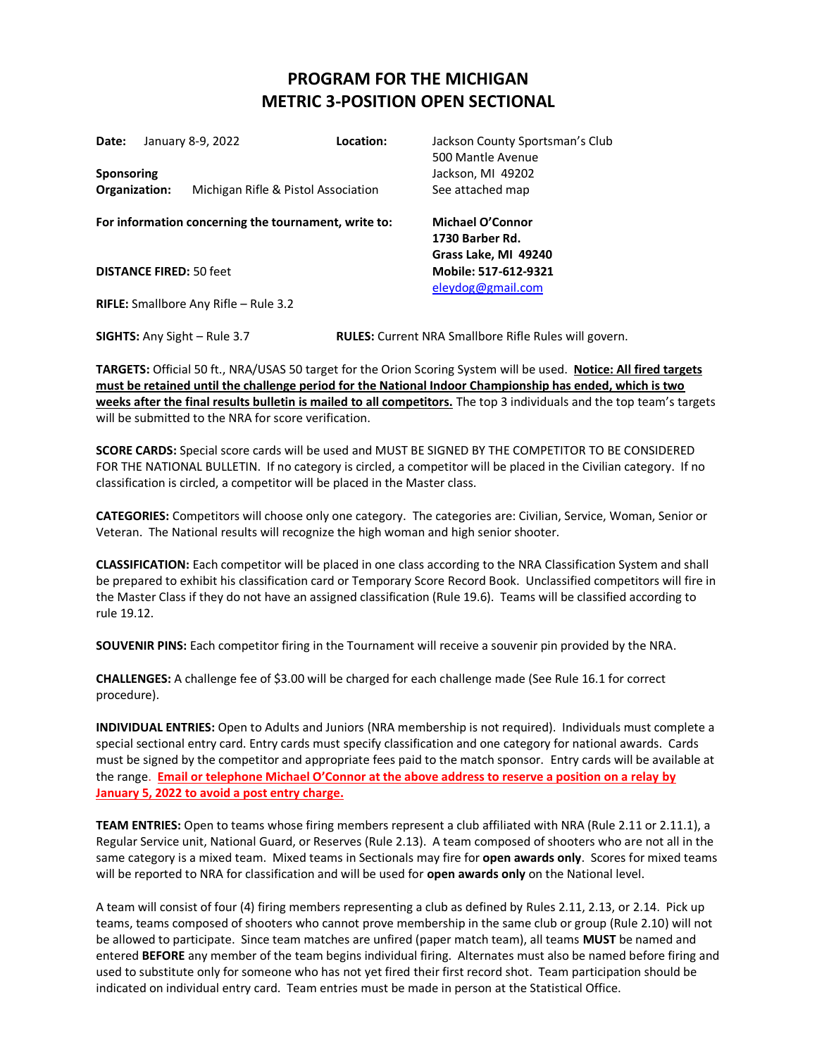## **PROGRAM FOR THE MICHIGAN METRIC 3-POSITION OPEN SECTIONAL**

| Date:<br>Sponsoring                            |  | January 8-9, 2022                                    | Location: | Jackson County Sportsman's Club<br>500 Mantle Avenue<br>Jackson, MI 49202 |  |  |
|------------------------------------------------|--|------------------------------------------------------|-----------|---------------------------------------------------------------------------|--|--|
| Organization:                                  |  | Michigan Rifle & Pistol Association                  |           | See attached map                                                          |  |  |
|                                                |  | For information concerning the tournament, write to: |           | Michael O'Connor<br>1730 Barber Rd.<br>Grass Lake, MI 49240               |  |  |
| <b>DISTANCE FIRED: 50 feet</b>                 |  |                                                      |           | Mobile: 517-612-9321<br>eleydog@gmail.com                                 |  |  |
| <b>RIFLE:</b> Smallbore Any Rifle $-$ Rule 3.2 |  |                                                      |           |                                                                           |  |  |

**SIGHTS:** Any Sight – Rule 3.7 **RULES:** Current NRA Smallbore Rifle Rules will govern.

**TARGETS:** Official 50 ft., NRA/USAS 50 target for the Orion Scoring System will be used. **Notice: All fired targets must be retained until the challenge period for the National Indoor Championship has ended, which is two weeks after the final results bulletin is mailed to all competitors.** The top 3 individuals and the top team's targets will be submitted to the NRA for score verification.

**SCORE CARDS:** Special score cards will be used and MUST BE SIGNED BY THE COMPETITOR TO BE CONSIDERED FOR THE NATIONAL BULLETIN. If no category is circled, a competitor will be placed in the Civilian category. If no classification is circled, a competitor will be placed in the Master class.

**CATEGORIES:** Competitors will choose only one category. The categories are: Civilian, Service, Woman, Senior or Veteran. The National results will recognize the high woman and high senior shooter.

**CLASSIFICATION:** Each competitor will be placed in one class according to the NRA Classification System and shall be prepared to exhibit his classification card or Temporary Score Record Book. Unclassified competitors will fire in the Master Class if they do not have an assigned classification (Rule 19.6). Teams will be classified according to rule 19.12.

**SOUVENIR PINS:** Each competitor firing in the Tournament will receive a souvenir pin provided by the NRA.

**CHALLENGES:** A challenge fee of \$3.00 will be charged for each challenge made (See Rule 16.1 for correct procedure).

**INDIVIDUAL ENTRIES:** Open to Adults and Juniors (NRA membership is not required). Individuals must complete a special sectional entry card. Entry cards must specify classification and one category for national awards. Cards must be signed by the competitor and appropriate fees paid to the match sponsor. Entry cards will be available at the range. **Email or telephone Michael O'Connor at the above address to reserve a position on a relay by January 5, 2022 to avoid a post entry charge.**

**TEAM ENTRIES:** Open to teams whose firing members represent a club affiliated with NRA (Rule 2.11 or 2.11.1), a Regular Service unit, National Guard, or Reserves (Rule 2.13). A team composed of shooters who are not all in the same category is a mixed team. Mixed teams in Sectionals may fire for **open awards only**. Scores for mixed teams will be reported to NRA for classification and will be used for **open awards only** on the National level.

A team will consist of four (4) firing members representing a club as defined by Rules 2.11, 2.13, or 2.14. Pick up teams, teams composed of shooters who cannot prove membership in the same club or group (Rule 2.10) will not be allowed to participate. Since team matches are unfired (paper match team), all teams **MUST** be named and entered **BEFORE** any member of the team begins individual firing. Alternates must also be named before firing and used to substitute only for someone who has not yet fired their first record shot. Team participation should be indicated on individual entry card. Team entries must be made in person at the Statistical Office.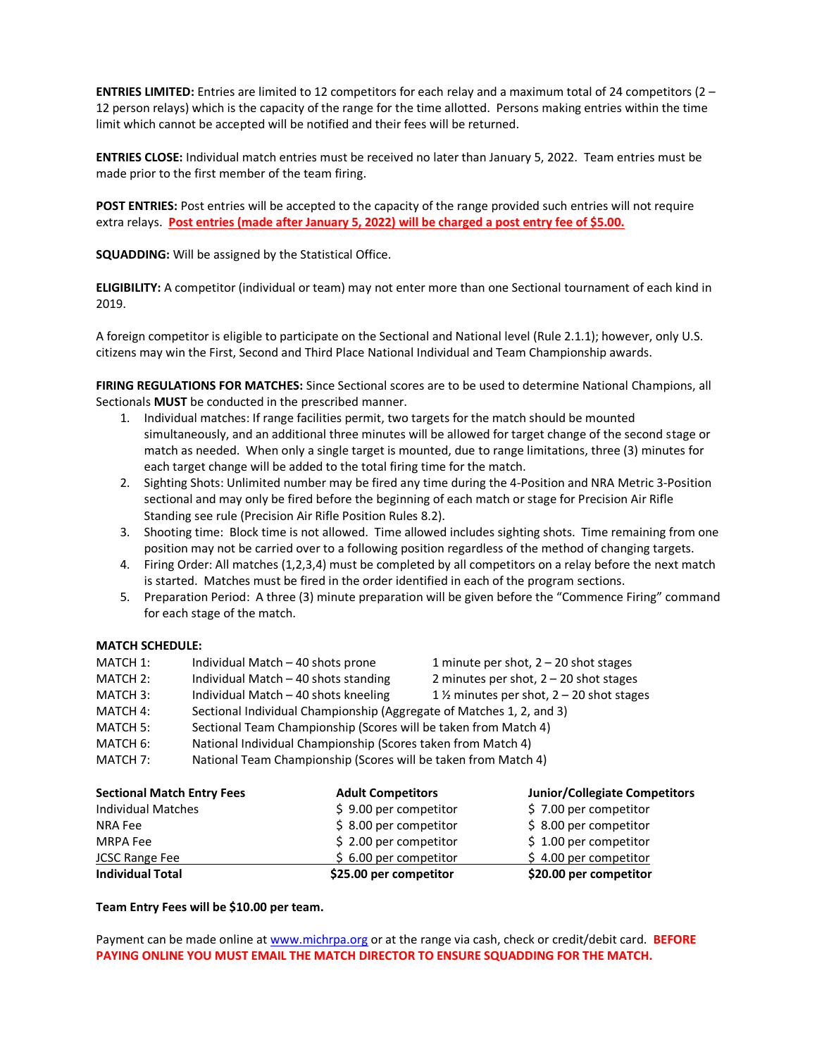**ENTRIES LIMITED:** Entries are limited to 12 competitors for each relay and a maximum total of 24 competitors (2 – 12 person relays) which is the capacity of the range for the time allotted. Persons making entries within the time limit which cannot be accepted will be notified and their fees will be returned.

**ENTRIES CLOSE:** Individual match entries must be received no later than January 5, 2022. Team entries must be made prior to the first member of the team firing.

**POST ENTRIES:** Post entries will be accepted to the capacity of the range provided such entries will not require extra relays. **Post entries (made after January 5, 2022) will be charged a post entry fee of \$5.00.**

**SQUADDING:** Will be assigned by the Statistical Office.

**ELIGIBILITY:** A competitor (individual or team) may not enter more than one Sectional tournament of each kind in 2019.

A foreign competitor is eligible to participate on the Sectional and National level (Rule 2.1.1); however, only U.S. citizens may win the First, Second and Third Place National Individual and Team Championship awards.

**FIRING REGULATIONS FOR MATCHES:** Since Sectional scores are to be used to determine National Champions, all Sectionals **MUST** be conducted in the prescribed manner.

- 1. Individual matches: If range facilities permit, two targets for the match should be mounted simultaneously, and an additional three minutes will be allowed for target change of the second stage or match as needed. When only a single target is mounted, due to range limitations, three (3) minutes for each target change will be added to the total firing time for the match.
- 2. Sighting Shots: Unlimited number may be fired any time during the 4-Position and NRA Metric 3-Position sectional and may only be fired before the beginning of each match or stage for Precision Air Rifle Standing see rule (Precision Air Rifle Position Rules 8.2).
- 3. Shooting time: Block time is not allowed. Time allowed includes sighting shots. Time remaining from one position may not be carried over to a following position regardless of the method of changing targets.
- 4. Firing Order: All matches (1,2,3,4) must be completed by all competitors on a relay before the next match is started. Matches must be fired in the order identified in each of the program sections.
- 5. Preparation Period: A three (3) minute preparation will be given before the "Commence Firing" command for each stage of the match.

## **MATCH SCHEDULE:**

| MATCH 1: | Individual Match - 40 shots prone                                    | 1 minute per shot, $2 - 20$ shot stages              |  |
|----------|----------------------------------------------------------------------|------------------------------------------------------|--|
| MATCH 2: | Individual Match - 40 shots standing                                 | 2 minutes per shot, $2 - 20$ shot stages             |  |
| MATCH 3: | Individual Match - 40 shots kneeling                                 | 1 $\frac{1}{2}$ minutes per shot, 2 – 20 shot stages |  |
| MATCH 4: | Sectional Individual Championship (Aggregate of Matches 1, 2, and 3) |                                                      |  |
| MATCH 5: | Sectional Team Championship (Scores will be taken from Match 4)      |                                                      |  |
| MATCH 6: | National Individual Championship (Scores taken from Match 4)         |                                                      |  |
| MATCH 7: | National Team Championship (Scores will be taken from Match 4)       |                                                      |  |
|          |                                                                      |                                                      |  |

| <b>Sectional Match Entry Fees</b> | <b>Adult Competitors</b> | <b>Junior/Collegiate Competitors</b> |  |
|-----------------------------------|--------------------------|--------------------------------------|--|
| <b>Individual Matches</b>         | $$9.00$ per competitor   | \$7.00 per competitor                |  |
| NRA Fee                           | $$8.00$ per competitor   | \$8.00 per competitor                |  |
| MRPA Fee                          | $$2.00$ per competitor   | $$1.00$ per competitor               |  |
| <b>JCSC Range Fee</b>             | \$ 6.00 per competitor   | $$4.00$ per competitor               |  |
| <b>Individual Total</b>           | \$25.00 per competitor   | \$20.00 per competitor               |  |

## **Team Entry Fees will be \$10.00 per team.**

Payment can be made online a[t www.michrpa.org](http://www.michrpa.org/) or at the range via cash, check or credit/debit card. **BEFORE PAYING ONLINE YOU MUST EMAIL THE MATCH DIRECTOR TO ENSURE SQUADDING FOR THE MATCH.**